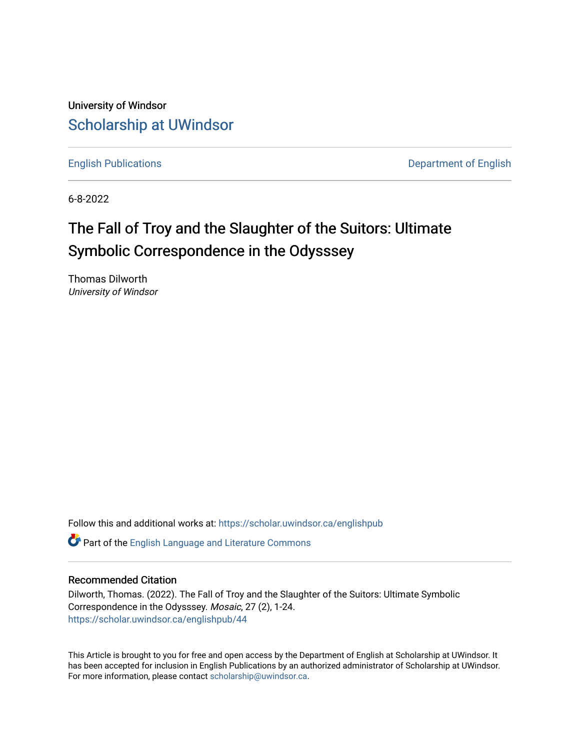University of Windsor [Scholarship at UWindsor](https://scholar.uwindsor.ca/) 

[English Publications](https://scholar.uwindsor.ca/englishpub) [Department of English](https://scholar.uwindsor.ca/english) 

6-8-2022

## The Fall of Troy and the Slaughter of the Suitors: Ultimate Symbolic Correspondence in the Odysssey

Thomas Dilworth University of Windsor

Follow this and additional works at: [https://scholar.uwindsor.ca/englishpub](https://scholar.uwindsor.ca/englishpub?utm_source=scholar.uwindsor.ca%2Fenglishpub%2F44&utm_medium=PDF&utm_campaign=PDFCoverPages) 

Part of the [English Language and Literature Commons](https://network.bepress.com/hgg/discipline/455?utm_source=scholar.uwindsor.ca%2Fenglishpub%2F44&utm_medium=PDF&utm_campaign=PDFCoverPages)

#### Recommended Citation

Dilworth, Thomas. (2022). The Fall of Troy and the Slaughter of the Suitors: Ultimate Symbolic Correspondence in the Odysssey. Mosaic, 27 (2), 1-24. [https://scholar.uwindsor.ca/englishpub/44](https://scholar.uwindsor.ca/englishpub/44?utm_source=scholar.uwindsor.ca%2Fenglishpub%2F44&utm_medium=PDF&utm_campaign=PDFCoverPages) 

This Article is brought to you for free and open access by the Department of English at Scholarship at UWindsor. It has been accepted for inclusion in English Publications by an authorized administrator of Scholarship at UWindsor. For more information, please contact [scholarship@uwindsor.ca](mailto:scholarship@uwindsor.ca).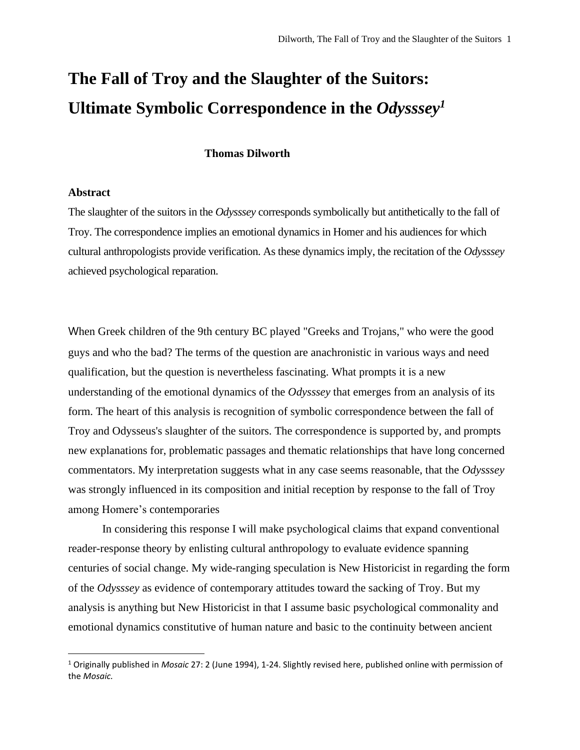# **The Fall of Troy and the Slaughter of the Suitors: Ultimate Symbolic Correspondence in the** *Odysssey<sup>1</sup>*

#### **Thomas Dilworth**

#### **Abstract**

The slaughter of the suitors in the *Odysssey* corresponds symbolically but antithetically to the fall of Troy. The correspondence implies an emotional dynamics in Homer and his audiences for which cultural anthropologists provide verification. As these dynamics imply, the recitation of the *Odysssey* achieved psychological reparation.

When Greek children of the 9th century BC played "Greeks and Trojans," who were the good guys and who the bad? The terms of the question are anachronistic in various ways and need qualification, but the question is nevertheless fascinating. What prompts it is a new understanding of the emotional dynamics of the *Odysssey* that emerges from an analysis of its form. The heart of this analysis is recognition of symbolic correspondence between the fall of Troy and Odysseus's slaughter of the suitors. The correspondence is supported by, and prompts new explanations for, problematic passages and thematic relationships that have long concerned commentators. My interpretation suggests what in any case seems reasonable, that the *Odysssey* was strongly influenced in its composition and initial reception by response to the fall of Troy among Homere's contemporaries

In considering this response I will make psychological claims that expand conventional reader-response theory by enlisting cultural anthropology to evaluate evidence spanning centuries of social change. My wide-ranging speculation is New Historicist in regarding the form of the *Odysssey* as evidence of contemporary attitudes toward the sacking of Troy. But my analysis is anything but New Historicist in that I assume basic psychological commonality and emotional dynamics constitutive of human nature and basic to the continuity between ancient

<sup>1</sup> Originally published in *Mosaic* 27: 2 (June 1994), 1-24. Slightly revised here, published online with permission of the *Mosaic.*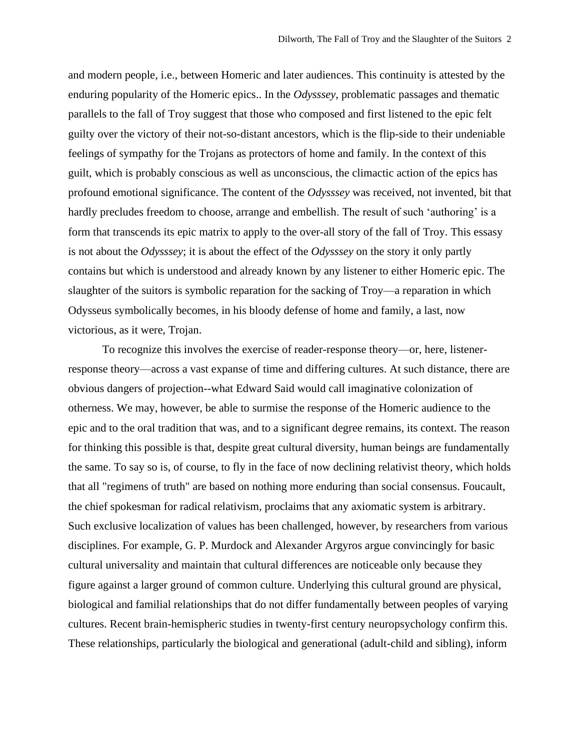and modern people, i.e., between Homeric and later audiences. This continuity is attested by the enduring popularity of the Homeric epics.. In the *Odysssey*, problematic passages and thematic parallels to the fall of Troy suggest that those who composed and first listened to the epic felt guilty over the victory of their not-so-distant ancestors, which is the flip-side to their undeniable feelings of sympathy for the Trojans as protectors of home and family. In the context of this guilt, which is probably conscious as well as unconscious, the climactic action of the epics has profound emotional significance. The content of the *Odysssey* was received, not invented, bit that hardly precludes freedom to choose, arrange and embellish. The result of such 'authoring' is a form that transcends its epic matrix to apply to the over-all story of the fall of Troy. This essasy is not about the *Odysssey*; it is about the effect of the *Odysssey* on the story it only partly contains but which is understood and already known by any listener to either Homeric epic. The slaughter of the suitors is symbolic reparation for the sacking of Troy—a reparation in which Odysseus symbolically becomes, in his bloody defense of home and family, a last, now victorious, as it were, Trojan.

To recognize this involves the exercise of reader-response theory—or, here, listenerresponse theory—across a vast expanse of time and differing cultures. At such distance, there are obvious dangers of projection--what Edward Said would call imaginative colonization of otherness. We may, however, be able to surmise the response of the Homeric audience to the epic and to the oral tradition that was, and to a significant degree remains, its context. The reason for thinking this possible is that, despite great cultural diversity, human beings are fundamentally the same. To say so is, of course, to fly in the face of now declining relativist theory, which holds that all "regimens of truth" are based on nothing more enduring than social consensus. Foucault, the chief spokesman for radical relativism, proclaims that any axiomatic system is arbitrary. Such exclusive localization of values has been challenged, however, by researchers from various disciplines. For example, G. P. Murdock and Alexander Argyros argue convincingly for basic cultural universality and maintain that cultural differences are noticeable only because they figure against a larger ground of common culture. Underlying this cultural ground are physical, biological and familial relationships that do not differ fundamentally between peoples of varying cultures. Recent brain-hemispheric studies in twenty-first century neuropsychology confirm this. These relationships, particularly the biological and generational (adult-child and sibling), inform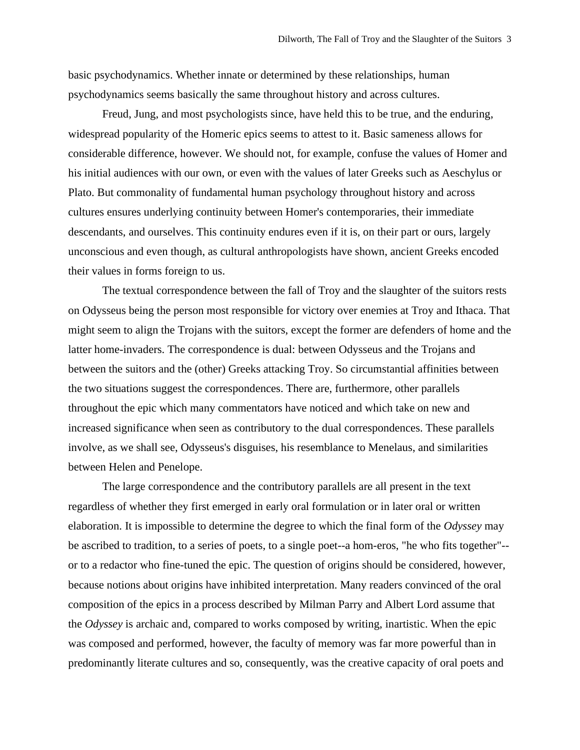basic psychodynamics. Whether innate or determined by these relationships, human psychodynamics seems basically the same throughout history and across cultures.

Freud, Jung, and most psychologists since, have held this to be true, and the enduring, widespread popularity of the Homeric epics seems to attest to it. Basic sameness allows for considerable difference, however. We should not, for example, confuse the values of Homer and his initial audiences with our own, or even with the values of later Greeks such as Aeschylus or Plato. But commonality of fundamental human psychology throughout history and across cultures ensures underlying continuity between Homer's contemporaries, their immediate descendants, and ourselves. This continuity endures even if it is, on their part or ours, largely unconscious and even though, as cultural anthropologists have shown, ancient Greeks encoded their values in forms foreign to us.

The textual correspondence between the fall of Troy and the slaughter of the suitors rests on Odysseus being the person most responsible for victory over enemies at Troy and Ithaca. That might seem to align the Trojans with the suitors, except the former are defenders of home and the latter home-invaders. The correspondence is dual: between Odysseus and the Trojans and between the suitors and the (other) Greeks attacking Troy. So circumstantial affinities between the two situations suggest the correspondences. There are, furthermore, other parallels throughout the epic which many commentators have noticed and which take on new and increased significance when seen as contributory to the dual correspondences. These parallels involve, as we shall see, Odysseus's disguises, his resemblance to Menelaus, and similarities between Helen and Penelope.

The large correspondence and the contributory parallels are all present in the text regardless of whether they first emerged in early oral formulation or in later oral or written elaboration. It is impossible to determine the degree to which the final form of the *Odyssey* may be ascribed to tradition, to a series of poets, to a single poet--a hom-eros, "he who fits together"- or to a redactor who fine-tuned the epic. The question of origins should be considered, however, because notions about origins have inhibited interpretation. Many readers convinced of the oral composition of the epics in a process described by Milman Parry and Albert Lord assume that the *Odyssey* is archaic and, compared to works composed by writing, inartistic. When the epic was composed and performed, however, the faculty of memory was far more powerful than in predominantly literate cultures and so, consequently, was the creative capacity of oral poets and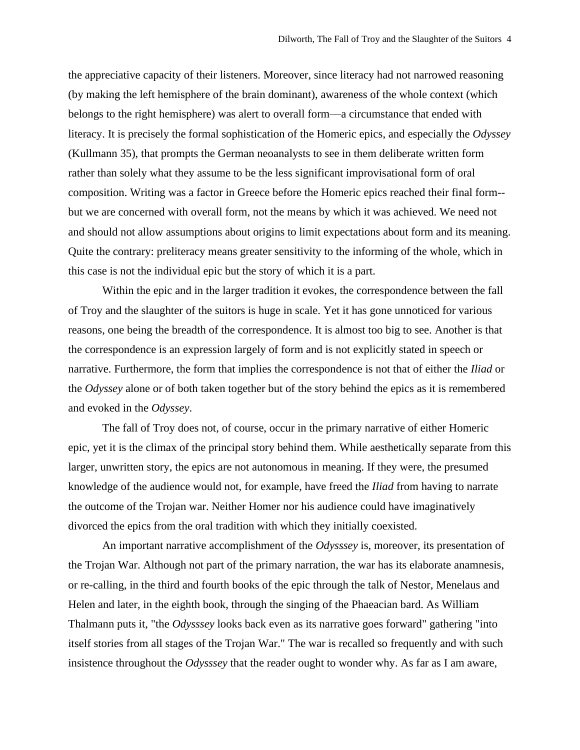the appreciative capacity of their listeners. Moreover, since literacy had not narrowed reasoning (by making the left hemisphere of the brain dominant), awareness of the whole context (which belongs to the right hemisphere) was alert to overall form—a circumstance that ended with literacy. It is precisely the formal sophistication of the Homeric epics, and especially the *Odyssey* (Kullmann 35), that prompts the German neoanalysts to see in them deliberate written form rather than solely what they assume to be the less significant improvisational form of oral composition. Writing was a factor in Greece before the Homeric epics reached their final form- but we are concerned with overall form, not the means by which it was achieved. We need not and should not allow assumptions about origins to limit expectations about form and its meaning. Quite the contrary: preliteracy means greater sensitivity to the informing of the whole, which in this case is not the individual epic but the story of which it is a part.

Within the epic and in the larger tradition it evokes, the correspondence between the fall of Troy and the slaughter of the suitors is huge in scale. Yet it has gone unnoticed for various reasons, one being the breadth of the correspondence. It is almost too big to see. Another is that the correspondence is an expression largely of form and is not explicitly stated in speech or narrative. Furthermore, the form that implies the correspondence is not that of either the *Iliad* or the *Odyssey* alone or of both taken together but of the story behind the epics as it is remembered and evoked in the *Odyssey*.

The fall of Troy does not, of course, occur in the primary narrative of either Homeric epic, yet it is the climax of the principal story behind them. While aesthetically separate from this larger, unwritten story, the epics are not autonomous in meaning. If they were, the presumed knowledge of the audience would not, for example, have freed the *Iliad* from having to narrate the outcome of the Trojan war. Neither Homer nor his audience could have imaginatively divorced the epics from the oral tradition with which they initially coexisted.

An important narrative accomplishment of the *Odysssey* is, moreover, its presentation of the Trojan War. Although not part of the primary narration, the war has its elaborate anamnesis, or re-calling, in the third and fourth books of the epic through the talk of Nestor, Menelaus and Helen and later, in the eighth book, through the singing of the Phaeacian bard. As William Thalmann puts it, "the *Odysssey* looks back even as its narrative goes forward" gathering "into itself stories from all stages of the Trojan War." The war is recalled so frequently and with such insistence throughout the *Odysssey* that the reader ought to wonder why. As far as I am aware,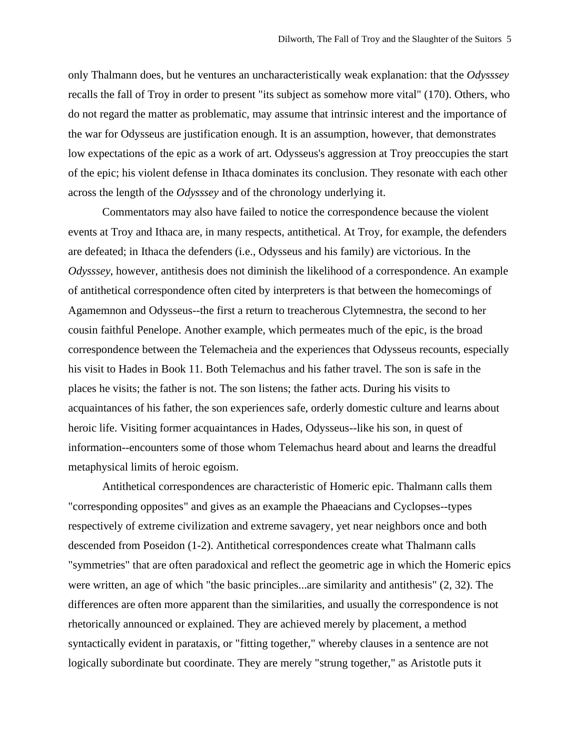only Thalmann does, but he ventures an uncharacteristically weak explanation: that the *Odysssey* recalls the fall of Troy in order to present "its subject as somehow more vital" (170). Others, who do not regard the matter as problematic, may assume that intrinsic interest and the importance of the war for Odysseus are justification enough. It is an assumption, however, that demonstrates low expectations of the epic as a work of art. Odysseus's aggression at Troy preoccupies the start of the epic; his violent defense in Ithaca dominates its conclusion. They resonate with each other across the length of the *Odysssey* and of the chronology underlying it.

Commentators may also have failed to notice the correspondence because the violent events at Troy and Ithaca are, in many respects, antithetical. At Troy, for example, the defenders are defeated; in Ithaca the defenders (i.e., Odysseus and his family) are victorious. In the *Odysssey*, however, antithesis does not diminish the likelihood of a correspondence. An example of antithetical correspondence often cited by interpreters is that between the homecomings of Agamemnon and Odysseus--the first a return to treacherous Clytemnestra, the second to her cousin faithful Penelope. Another example, which permeates much of the epic, is the broad correspondence between the Telemacheia and the experiences that Odysseus recounts, especially his visit to Hades in Book 11. Both Telemachus and his father travel. The son is safe in the places he visits; the father is not. The son listens; the father acts. During his visits to acquaintances of his father, the son experiences safe, orderly domestic culture and learns about heroic life. Visiting former acquaintances in Hades, Odysseus--like his son, in quest of information--encounters some of those whom Telemachus heard about and learns the dreadful metaphysical limits of heroic egoism.

Antithetical correspondences are characteristic of Homeric epic. Thalmann calls them "corresponding opposites" and gives as an example the Phaeacians and Cyclopses--types respectively of extreme civilization and extreme savagery, yet near neighbors once and both descended from Poseidon (1-2). Antithetical correspondences create what Thalmann calls "symmetries" that are often paradoxical and reflect the geometric age in which the Homeric epics were written, an age of which "the basic principles...are similarity and antithesis" (2, 32). The differences are often more apparent than the similarities, and usually the correspondence is not rhetorically announced or explained. They are achieved merely by placement, a method syntactically evident in parataxis, or "fitting together," whereby clauses in a sentence are not logically subordinate but coordinate. They are merely "strung together," as Aristotle puts it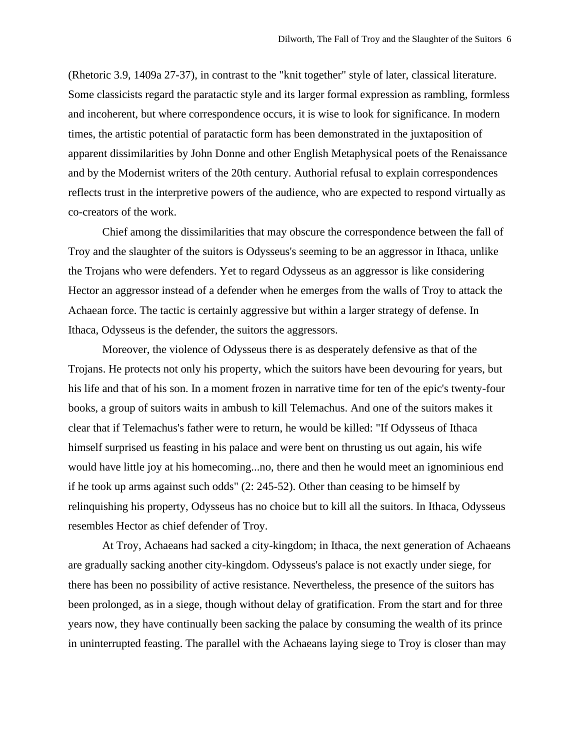(Rhetoric 3.9, 1409a 27-37), in contrast to the "knit together" style of later, classical literature. Some classicists regard the paratactic style and its larger formal expression as rambling, formless and incoherent, but where correspondence occurs, it is wise to look for significance. In modern times, the artistic potential of paratactic form has been demonstrated in the juxtaposition of apparent dissimilarities by John Donne and other English Metaphysical poets of the Renaissance and by the Modernist writers of the 20th century. Authorial refusal to explain correspondences reflects trust in the interpretive powers of the audience, who are expected to respond virtually as co-creators of the work.

Chief among the dissimilarities that may obscure the correspondence between the fall of Troy and the slaughter of the suitors is Odysseus's seeming to be an aggressor in Ithaca, unlike the Trojans who were defenders. Yet to regard Odysseus as an aggressor is like considering Hector an aggressor instead of a defender when he emerges from the walls of Troy to attack the Achaean force. The tactic is certainly aggressive but within a larger strategy of defense. In Ithaca, Odysseus is the defender, the suitors the aggressors.

Moreover, the violence of Odysseus there is as desperately defensive as that of the Trojans. He protects not only his property, which the suitors have been devouring for years, but his life and that of his son. In a moment frozen in narrative time for ten of the epic's twenty-four books, a group of suitors waits in ambush to kill Telemachus. And one of the suitors makes it clear that if Telemachus's father were to return, he would be killed: "If Odysseus of Ithaca himself surprised us feasting in his palace and were bent on thrusting us out again, his wife would have little joy at his homecoming...no, there and then he would meet an ignominious end if he took up arms against such odds" (2: 245-52). Other than ceasing to be himself by relinquishing his property, Odysseus has no choice but to kill all the suitors. In Ithaca, Odysseus resembles Hector as chief defender of Troy.

At Troy, Achaeans had sacked a city-kingdom; in Ithaca, the next generation of Achaeans are gradually sacking another city-kingdom. Odysseus's palace is not exactly under siege, for there has been no possibility of active resistance. Nevertheless, the presence of the suitors has been prolonged, as in a siege, though without delay of gratification. From the start and for three years now, they have continually been sacking the palace by consuming the wealth of its prince in uninterrupted feasting. The parallel with the Achaeans laying siege to Troy is closer than may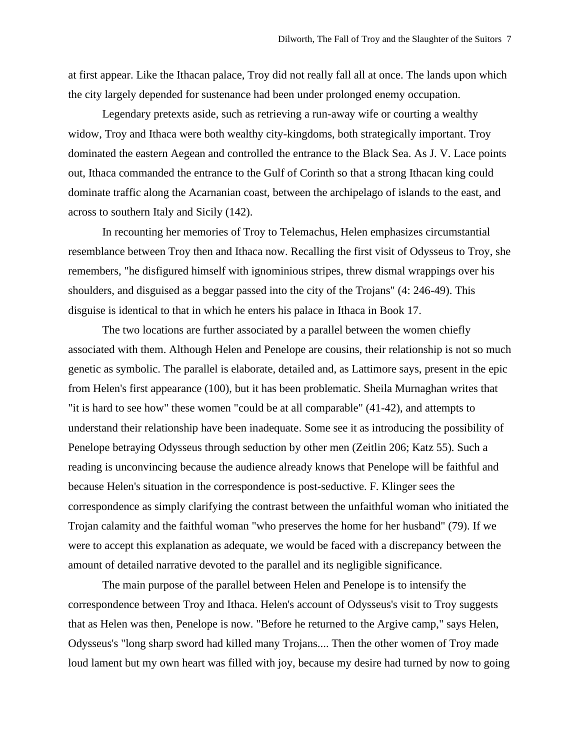at first appear. Like the Ithacan palace, Troy did not really fall all at once. The lands upon which the city largely depended for sustenance had been under prolonged enemy occupation.

Legendary pretexts aside, such as retrieving a run-away wife or courting a wealthy widow, Troy and Ithaca were both wealthy city-kingdoms, both strategically important. Troy dominated the eastern Aegean and controlled the entrance to the Black Sea. As J. V. Lace points out, Ithaca commanded the entrance to the Gulf of Corinth so that a strong Ithacan king could dominate traffic along the Acarnanian coast, between the archipelago of islands to the east, and across to southern Italy and Sicily (142).

In recounting her memories of Troy to Telemachus, Helen emphasizes circumstantial resemblance between Troy then and Ithaca now. Recalling the first visit of Odysseus to Troy, she remembers, "he disfigured himself with ignominious stripes, threw dismal wrappings over his shoulders, and disguised as a beggar passed into the city of the Trojans" (4: 246-49). This disguise is identical to that in which he enters his palace in Ithaca in Book 17.

The two locations are further associated by a parallel between the women chiefly associated with them. Although Helen and Penelope are cousins, their relationship is not so much genetic as symbolic. The parallel is elaborate, detailed and, as Lattimore says, present in the epic from Helen's first appearance (100), but it has been problematic. Sheila Murnaghan writes that "it is hard to see how" these women "could be at all comparable" (41-42), and attempts to understand their relationship have been inadequate. Some see it as introducing the possibility of Penelope betraying Odysseus through seduction by other men (Zeitlin 206; Katz 55). Such a reading is unconvincing because the audience already knows that Penelope will be faithful and because Helen's situation in the correspondence is post-seductive. F. Klinger sees the correspondence as simply clarifying the contrast between the unfaithful woman who initiated the Trojan calamity and the faithful woman "who preserves the home for her husband" (79). If we were to accept this explanation as adequate, we would be faced with a discrepancy between the amount of detailed narrative devoted to the parallel and its negligible significance.

The main purpose of the parallel between Helen and Penelope is to intensify the correspondence between Troy and Ithaca. Helen's account of Odysseus's visit to Troy suggests that as Helen was then, Penelope is now. "Before he returned to the Argive camp," says Helen, Odysseus's "long sharp sword had killed many Trojans.... Then the other women of Troy made loud lament but my own heart was filled with joy, because my desire had turned by now to going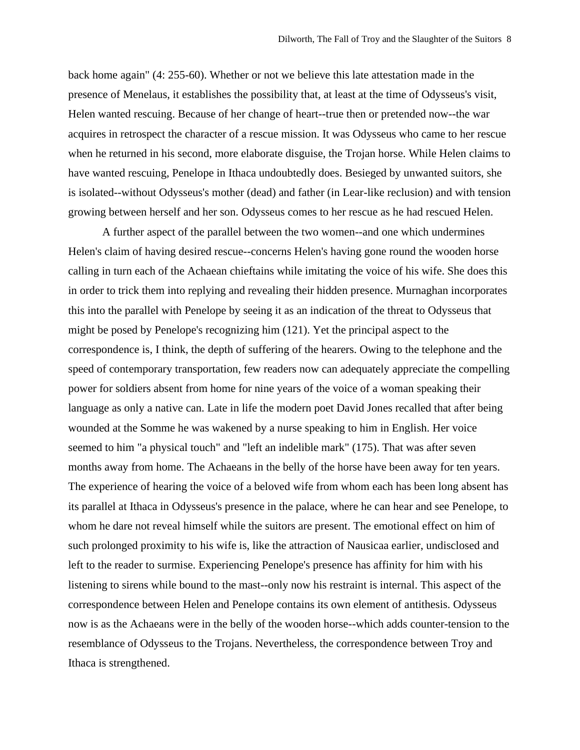back home again" (4: 255-60). Whether or not we believe this late attestation made in the presence of Menelaus, it establishes the possibility that, at least at the time of Odysseus's visit, Helen wanted rescuing. Because of her change of heart--true then or pretended now--the war acquires in retrospect the character of a rescue mission. It was Odysseus who came to her rescue when he returned in his second, more elaborate disguise, the Trojan horse. While Helen claims to have wanted rescuing, Penelope in Ithaca undoubtedly does. Besieged by unwanted suitors, she is isolated--without Odysseus's mother (dead) and father (in Lear-like reclusion) and with tension growing between herself and her son. Odysseus comes to her rescue as he had rescued Helen.

A further aspect of the parallel between the two women--and one which undermines Helen's claim of having desired rescue--concerns Helen's having gone round the wooden horse calling in turn each of the Achaean chieftains while imitating the voice of his wife. She does this in order to trick them into replying and revealing their hidden presence. Murnaghan incorporates this into the parallel with Penelope by seeing it as an indication of the threat to Odysseus that might be posed by Penelope's recognizing him (121). Yet the principal aspect to the correspondence is, I think, the depth of suffering of the hearers. Owing to the telephone and the speed of contemporary transportation, few readers now can adequately appreciate the compelling power for soldiers absent from home for nine years of the voice of a woman speaking their language as only a native can. Late in life the modern poet David Jones recalled that after being wounded at the Somme he was wakened by a nurse speaking to him in English. Her voice seemed to him "a physical touch" and "left an indelible mark" (175). That was after seven months away from home. The Achaeans in the belly of the horse have been away for ten years. The experience of hearing the voice of a beloved wife from whom each has been long absent has its parallel at Ithaca in Odysseus's presence in the palace, where he can hear and see Penelope, to whom he dare not reveal himself while the suitors are present. The emotional effect on him of such prolonged proximity to his wife is, like the attraction of Nausicaa earlier, undisclosed and left to the reader to surmise. Experiencing Penelope's presence has affinity for him with his listening to sirens while bound to the mast--only now his restraint is internal. This aspect of the correspondence between Helen and Penelope contains its own element of antithesis. Odysseus now is as the Achaeans were in the belly of the wooden horse--which adds counter-tension to the resemblance of Odysseus to the Trojans. Nevertheless, the correspondence between Troy and Ithaca is strengthened.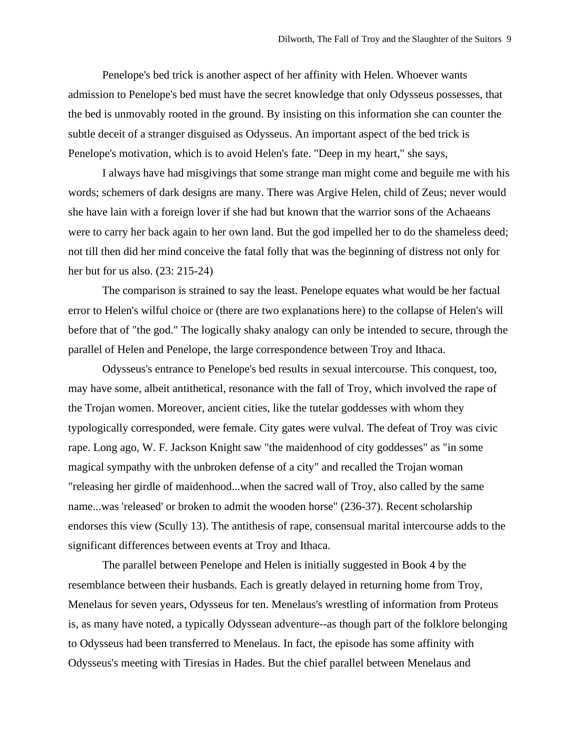Penelope's bed trick is another aspect of her affinity with Helen. Whoever wants admission to Penelope's bed must have the secret knowledge that only Odysseus possesses, that the bed is unmovably rooted in the ground. By insisting on this information she can counter the subtle deceit of a stranger disguised as Odysseus. An important aspect of the bed trick is Penelope's motivation, which is to avoid Helen's fate. "Deep in my heart," she says,

I always have had misgivings that some strange man might come and beguile me with his words; schemers of dark designs are many. There was Argive Helen, child of Zeus; never would she have lain with a foreign lover if she had but known that the warrior sons of the Achaeans were to carry her back again to her own land. But the god impelled her to do the shameless deed; not till then did her mind conceive the fatal folly that was the beginning of distress not only for her but for us also. (23: 215-24)

The comparison is strained to say the least. Penelope equates what would be her factual error to Helen's wilful choice or (there are two explanations here) to the collapse of Helen's will before that of "the god." The logically shaky analogy can only be intended to secure, through the parallel of Helen and Penelope, the large correspondence between Troy and Ithaca.

Odysseus's entrance to Penelope's bed results in sexual intercourse. This conquest, too, may have some, albeit antithetical, resonance with the fall of Troy, which involved the rape of the Trojan women. Moreover, ancient cities, like the tutelar goddesses with whom they typologically corresponded, were female. City gates were vulval. The defeat of Troy was civic rape. Long ago, W. F. Jackson Knight saw "the maidenhood of city goddesses" as "in some magical sympathy with the unbroken defense of a city" and recalled the Trojan woman "releasing her girdle of maidenhood...when the sacred wall of Troy, also called by the same name...was 'released' or broken to admit the wooden horse" (236-37). Recent scholarship endorses this view (Scully 13). The antithesis of rape, consensual marital intercourse adds to the significant differences between events at Troy and Ithaca.

The parallel between Penelope and Helen is initially suggested in Book 4 by the resemblance between their husbands. Each is greatly delayed in returning home from Troy, Menelaus for seven years, Odysseus for ten. Menelaus's wrestling of information from Proteus is, as many have noted, a typically Odyssean adventure--as though part of the folklore belonging to Odysseus had been transferred to Menelaus. In fact, the episode has some affinity with Odysseus's meeting with Tiresias in Hades. But the chief parallel between Menelaus and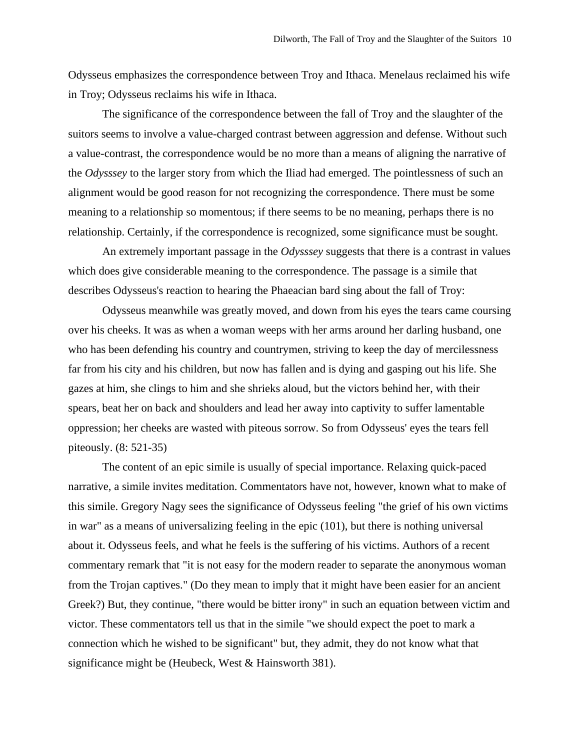Odysseus emphasizes the correspondence between Troy and Ithaca. Menelaus reclaimed his wife in Troy; Odysseus reclaims his wife in Ithaca.

The significance of the correspondence between the fall of Troy and the slaughter of the suitors seems to involve a value-charged contrast between aggression and defense. Without such a value-contrast, the correspondence would be no more than a means of aligning the narrative of the *Odysssey* to the larger story from which the Iliad had emerged. The pointlessness of such an alignment would be good reason for not recognizing the correspondence. There must be some meaning to a relationship so momentous; if there seems to be no meaning, perhaps there is no relationship. Certainly, if the correspondence is recognized, some significance must be sought.

An extremely important passage in the *Odysssey* suggests that there is a contrast in values which does give considerable meaning to the correspondence. The passage is a simile that describes Odysseus's reaction to hearing the Phaeacian bard sing about the fall of Troy:

Odysseus meanwhile was greatly moved, and down from his eyes the tears came coursing over his cheeks. It was as when a woman weeps with her arms around her darling husband, one who has been defending his country and countrymen, striving to keep the day of mercilessness far from his city and his children, but now has fallen and is dying and gasping out his life. She gazes at him, she clings to him and she shrieks aloud, but the victors behind her, with their spears, beat her on back and shoulders and lead her away into captivity to suffer lamentable oppression; her cheeks are wasted with piteous sorrow. So from Odysseus' eyes the tears fell piteously. (8: 521-35)

The content of an epic simile is usually of special importance. Relaxing quick-paced narrative, a simile invites meditation. Commentators have not, however, known what to make of this simile. Gregory Nagy sees the significance of Odysseus feeling "the grief of his own victims in war" as a means of universalizing feeling in the epic (101), but there is nothing universal about it. Odysseus feels, and what he feels is the suffering of his victims. Authors of a recent commentary remark that "it is not easy for the modern reader to separate the anonymous woman from the Trojan captives." (Do they mean to imply that it might have been easier for an ancient Greek?) But, they continue, "there would be bitter irony" in such an equation between victim and victor. These commentators tell us that in the simile "we should expect the poet to mark a connection which he wished to be significant" but, they admit, they do not know what that significance might be (Heubeck, West & Hainsworth 381).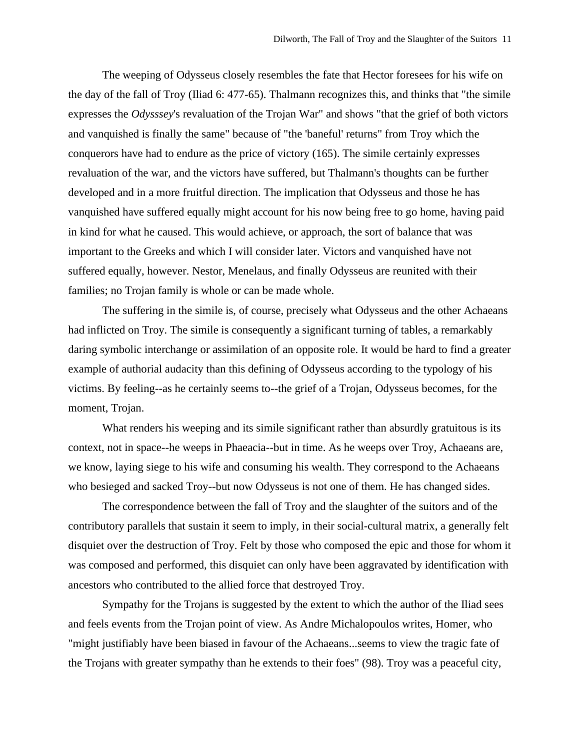The weeping of Odysseus closely resembles the fate that Hector foresees for his wife on the day of the fall of Troy (Iliad 6: 477-65). Thalmann recognizes this, and thinks that "the simile expresses the *Odysssey*'s revaluation of the Trojan War" and shows "that the grief of both victors and vanquished is finally the same" because of "the 'baneful' returns" from Troy which the conquerors have had to endure as the price of victory (165). The simile certainly expresses revaluation of the war, and the victors have suffered, but Thalmann's thoughts can be further developed and in a more fruitful direction. The implication that Odysseus and those he has vanquished have suffered equally might account for his now being free to go home, having paid in kind for what he caused. This would achieve, or approach, the sort of balance that was important to the Greeks and which I will consider later. Victors and vanquished have not suffered equally, however. Nestor, Menelaus, and finally Odysseus are reunited with their families; no Trojan family is whole or can be made whole.

The suffering in the simile is, of course, precisely what Odysseus and the other Achaeans had inflicted on Troy. The simile is consequently a significant turning of tables, a remarkably daring symbolic interchange or assimilation of an opposite role. It would be hard to find a greater example of authorial audacity than this defining of Odysseus according to the typology of his victims. By feeling--as he certainly seems to--the grief of a Trojan, Odysseus becomes, for the moment, Trojan.

What renders his weeping and its simile significant rather than absurdly gratuitous is its context, not in space--he weeps in Phaeacia--but in time. As he weeps over Troy, Achaeans are, we know, laying siege to his wife and consuming his wealth. They correspond to the Achaeans who besieged and sacked Troy--but now Odysseus is not one of them. He has changed sides.

The correspondence between the fall of Troy and the slaughter of the suitors and of the contributory parallels that sustain it seem to imply, in their social-cultural matrix, a generally felt disquiet over the destruction of Troy. Felt by those who composed the epic and those for whom it was composed and performed, this disquiet can only have been aggravated by identification with ancestors who contributed to the allied force that destroyed Troy.

Sympathy for the Trojans is suggested by the extent to which the author of the Iliad sees and feels events from the Trojan point of view. As Andre Michalopoulos writes, Homer, who "might justifiably have been biased in favour of the Achaeans...seems to view the tragic fate of the Trojans with greater sympathy than he extends to their foes" (98). Troy was a peaceful city,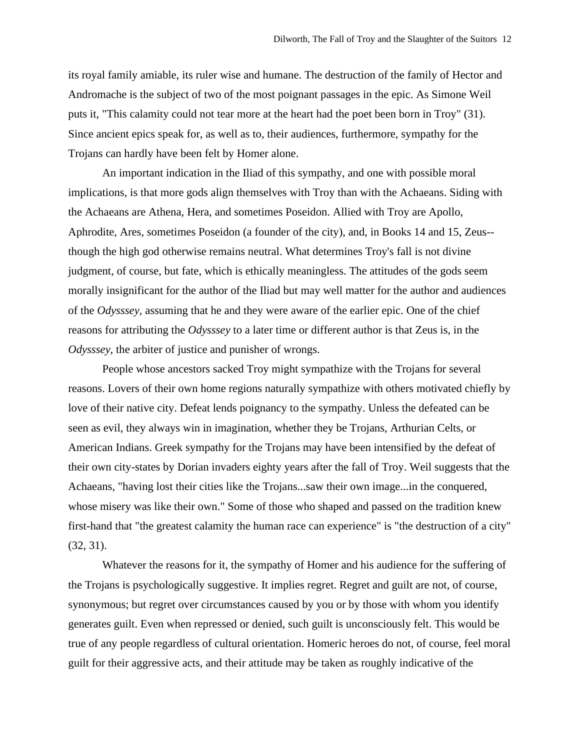its royal family amiable, its ruler wise and humane. The destruction of the family of Hector and Andromache is the subject of two of the most poignant passages in the epic. As Simone Weil puts it, "This calamity could not tear more at the heart had the poet been born in Troy" (31). Since ancient epics speak for, as well as to, their audiences, furthermore, sympathy for the Trojans can hardly have been felt by Homer alone.

An important indication in the Iliad of this sympathy, and one with possible moral implications, is that more gods align themselves with Troy than with the Achaeans. Siding with the Achaeans are Athena, Hera, and sometimes Poseidon. Allied with Troy are Apollo, Aphrodite, Ares, sometimes Poseidon (a founder of the city), and, in Books 14 and 15, Zeus- though the high god otherwise remains neutral. What determines Troy's fall is not divine judgment, of course, but fate, which is ethically meaningless. The attitudes of the gods seem morally insignificant for the author of the Iliad but may well matter for the author and audiences of the *Odysssey*, assuming that he and they were aware of the earlier epic. One of the chief reasons for attributing the *Odysssey* to a later time or different author is that Zeus is, in the *Odysssey*, the arbiter of justice and punisher of wrongs.

People whose ancestors sacked Troy might sympathize with the Trojans for several reasons. Lovers of their own home regions naturally sympathize with others motivated chiefly by love of their native city. Defeat lends poignancy to the sympathy. Unless the defeated can be seen as evil, they always win in imagination, whether they be Trojans, Arthurian Celts, or American Indians. Greek sympathy for the Trojans may have been intensified by the defeat of their own city-states by Dorian invaders eighty years after the fall of Troy. Weil suggests that the Achaeans, "having lost their cities like the Trojans...saw their own image...in the conquered, whose misery was like their own." Some of those who shaped and passed on the tradition knew first-hand that "the greatest calamity the human race can experience" is "the destruction of a city" (32, 31).

Whatever the reasons for it, the sympathy of Homer and his audience for the suffering of the Trojans is psychologically suggestive. It implies regret. Regret and guilt are not, of course, synonymous; but regret over circumstances caused by you or by those with whom you identify generates guilt. Even when repressed or denied, such guilt is unconsciously felt. This would be true of any people regardless of cultural orientation. Homeric heroes do not, of course, feel moral guilt for their aggressive acts, and their attitude may be taken as roughly indicative of the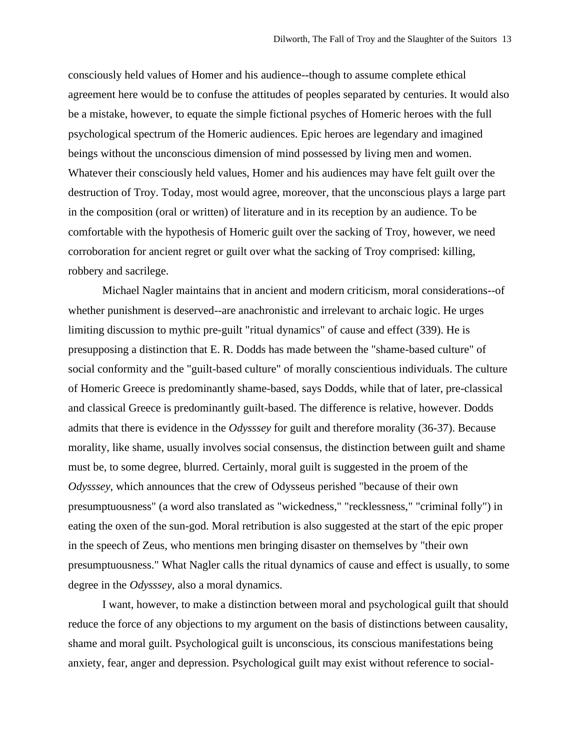consciously held values of Homer and his audience--though to assume complete ethical agreement here would be to confuse the attitudes of peoples separated by centuries. It would also be a mistake, however, to equate the simple fictional psyches of Homeric heroes with the full psychological spectrum of the Homeric audiences. Epic heroes are legendary and imagined beings without the unconscious dimension of mind possessed by living men and women. Whatever their consciously held values, Homer and his audiences may have felt guilt over the destruction of Troy. Today, most would agree, moreover, that the unconscious plays a large part in the composition (oral or written) of literature and in its reception by an audience. To be comfortable with the hypothesis of Homeric guilt over the sacking of Troy, however, we need corroboration for ancient regret or guilt over what the sacking of Troy comprised: killing, robbery and sacrilege.

Michael Nagler maintains that in ancient and modern criticism, moral considerations--of whether punishment is deserved--are anachronistic and irrelevant to archaic logic. He urges limiting discussion to mythic pre-guilt "ritual dynamics" of cause and effect (339). He is presupposing a distinction that E. R. Dodds has made between the "shame-based culture" of social conformity and the "guilt-based culture" of morally conscientious individuals. The culture of Homeric Greece is predominantly shame-based, says Dodds, while that of later, pre-classical and classical Greece is predominantly guilt-based. The difference is relative, however. Dodds admits that there is evidence in the *Odysssey* for guilt and therefore morality (36-37). Because morality, like shame, usually involves social consensus, the distinction between guilt and shame must be, to some degree, blurred. Certainly, moral guilt is suggested in the proem of the *Odysssey*, which announces that the crew of Odysseus perished "because of their own presumptuousness" (a word also translated as "wickedness," "recklessness," "criminal folly") in eating the oxen of the sun-god. Moral retribution is also suggested at the start of the epic proper in the speech of Zeus, who mentions men bringing disaster on themselves by "their own presumptuousness." What Nagler calls the ritual dynamics of cause and effect is usually, to some degree in the *Odysssey*, also a moral dynamics.

I want, however, to make a distinction between moral and psychological guilt that should reduce the force of any objections to my argument on the basis of distinctions between causality, shame and moral guilt. Psychological guilt is unconscious, its conscious manifestations being anxiety, fear, anger and depression. Psychological guilt may exist without reference to social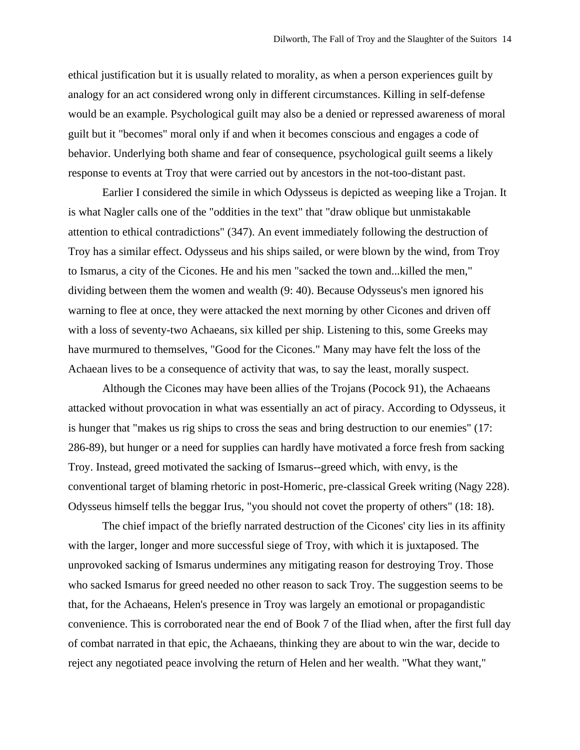ethical justification but it is usually related to morality, as when a person experiences guilt by analogy for an act considered wrong only in different circumstances. Killing in self-defense would be an example. Psychological guilt may also be a denied or repressed awareness of moral guilt but it "becomes" moral only if and when it becomes conscious and engages a code of behavior. Underlying both shame and fear of consequence, psychological guilt seems a likely response to events at Troy that were carried out by ancestors in the not-too-distant past.

Earlier I considered the simile in which Odysseus is depicted as weeping like a Trojan. It is what Nagler calls one of the "oddities in the text" that "draw oblique but unmistakable attention to ethical contradictions" (347). An event immediately following the destruction of Troy has a similar effect. Odysseus and his ships sailed, or were blown by the wind, from Troy to Ismarus, a city of the Cicones. He and his men "sacked the town and...killed the men," dividing between them the women and wealth (9: 40). Because Odysseus's men ignored his warning to flee at once, they were attacked the next morning by other Cicones and driven off with a loss of seventy-two Achaeans, six killed per ship. Listening to this, some Greeks may have murmured to themselves, "Good for the Cicones." Many may have felt the loss of the Achaean lives to be a consequence of activity that was, to say the least, morally suspect.

Although the Cicones may have been allies of the Trojans (Pocock 91), the Achaeans attacked without provocation in what was essentially an act of piracy. According to Odysseus, it is hunger that "makes us rig ships to cross the seas and bring destruction to our enemies" (17: 286-89), but hunger or a need for supplies can hardly have motivated a force fresh from sacking Troy. Instead, greed motivated the sacking of Ismarus--greed which, with envy, is the conventional target of blaming rhetoric in post-Homeric, pre-classical Greek writing (Nagy 228). Odysseus himself tells the beggar Irus, "you should not covet the property of others" (18: 18).

The chief impact of the briefly narrated destruction of the Cicones' city lies in its affinity with the larger, longer and more successful siege of Troy, with which it is juxtaposed. The unprovoked sacking of Ismarus undermines any mitigating reason for destroying Troy. Those who sacked Ismarus for greed needed no other reason to sack Troy. The suggestion seems to be that, for the Achaeans, Helen's presence in Troy was largely an emotional or propagandistic convenience. This is corroborated near the end of Book 7 of the Iliad when, after the first full day of combat narrated in that epic, the Achaeans, thinking they are about to win the war, decide to reject any negotiated peace involving the return of Helen and her wealth. "What they want,"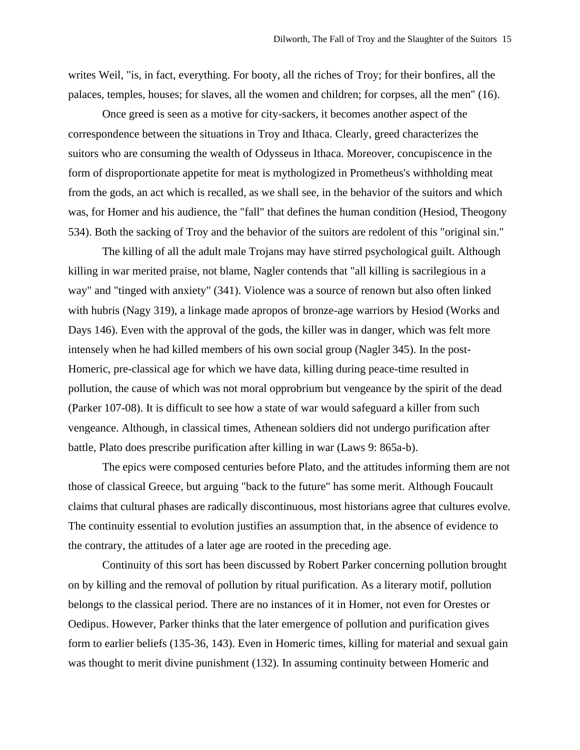writes Weil, "is, in fact, everything. For booty, all the riches of Troy; for their bonfires, all the palaces, temples, houses; for slaves, all the women and children; for corpses, all the men" (16).

Once greed is seen as a motive for city-sackers, it becomes another aspect of the correspondence between the situations in Troy and Ithaca. Clearly, greed characterizes the suitors who are consuming the wealth of Odysseus in Ithaca. Moreover, concupiscence in the form of disproportionate appetite for meat is mythologized in Prometheus's withholding meat from the gods, an act which is recalled, as we shall see, in the behavior of the suitors and which was, for Homer and his audience, the "fall" that defines the human condition (Hesiod, Theogony 534). Both the sacking of Troy and the behavior of the suitors are redolent of this "original sin."

The killing of all the adult male Trojans may have stirred psychological guilt. Although killing in war merited praise, not blame, Nagler contends that "all killing is sacrilegious in a way" and "tinged with anxiety" (341). Violence was a source of renown but also often linked with hubris (Nagy 319), a linkage made apropos of bronze-age warriors by Hesiod (Works and Days 146). Even with the approval of the gods, the killer was in danger, which was felt more intensely when he had killed members of his own social group (Nagler 345). In the post-Homeric, pre-classical age for which we have data, killing during peace-time resulted in pollution, the cause of which was not moral opprobrium but vengeance by the spirit of the dead (Parker 107-08). It is difficult to see how a state of war would safeguard a killer from such vengeance. Although, in classical times, Athenean soldiers did not undergo purification after battle, Plato does prescribe purification after killing in war (Laws 9: 865a-b).

The epics were composed centuries before Plato, and the attitudes informing them are not those of classical Greece, but arguing "back to the future" has some merit. Although Foucault claims that cultural phases are radically discontinuous, most historians agree that cultures evolve. The continuity essential to evolution justifies an assumption that, in the absence of evidence to the contrary, the attitudes of a later age are rooted in the preceding age.

Continuity of this sort has been discussed by Robert Parker concerning pollution brought on by killing and the removal of pollution by ritual purification. As a literary motif, pollution belongs to the classical period. There are no instances of it in Homer, not even for Orestes or Oedipus. However, Parker thinks that the later emergence of pollution and purification gives form to earlier beliefs (135-36, 143). Even in Homeric times, killing for material and sexual gain was thought to merit divine punishment (132). In assuming continuity between Homeric and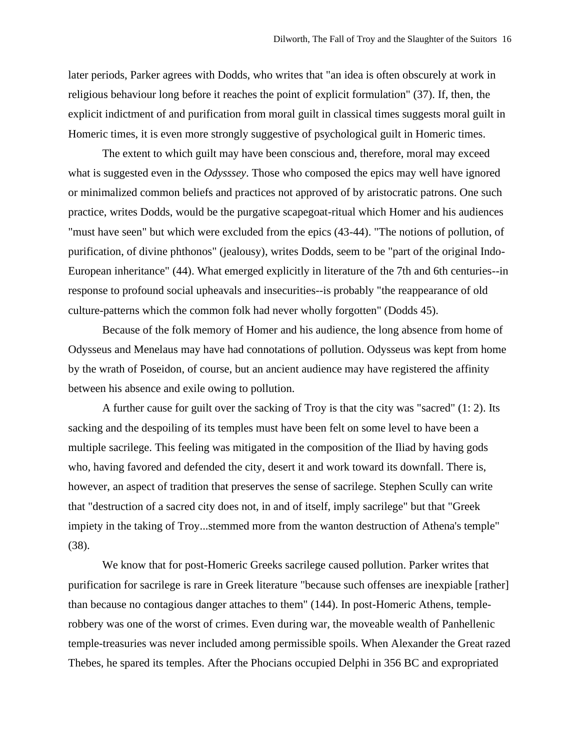later periods, Parker agrees with Dodds, who writes that "an idea is often obscurely at work in religious behaviour long before it reaches the point of explicit formulation" (37). If, then, the explicit indictment of and purification from moral guilt in classical times suggests moral guilt in Homeric times, it is even more strongly suggestive of psychological guilt in Homeric times.

The extent to which guilt may have been conscious and, therefore, moral may exceed what is suggested even in the *Odysssey*. Those who composed the epics may well have ignored or minimalized common beliefs and practices not approved of by aristocratic patrons. One such practice, writes Dodds, would be the purgative scapegoat-ritual which Homer and his audiences "must have seen" but which were excluded from the epics (43-44). "The notions of pollution, of purification, of divine phthonos" (jealousy), writes Dodds, seem to be "part of the original Indo-European inheritance" (44). What emerged explicitly in literature of the 7th and 6th centuries--in response to profound social upheavals and insecurities--is probably "the reappearance of old culture-patterns which the common folk had never wholly forgotten" (Dodds 45).

Because of the folk memory of Homer and his audience, the long absence from home of Odysseus and Menelaus may have had connotations of pollution. Odysseus was kept from home by the wrath of Poseidon, of course, but an ancient audience may have registered the affinity between his absence and exile owing to pollution.

A further cause for guilt over the sacking of Troy is that the city was "sacred" (1: 2). Its sacking and the despoiling of its temples must have been felt on some level to have been a multiple sacrilege. This feeling was mitigated in the composition of the Iliad by having gods who, having favored and defended the city, desert it and work toward its downfall. There is, however, an aspect of tradition that preserves the sense of sacrilege. Stephen Scully can write that "destruction of a sacred city does not, in and of itself, imply sacrilege" but that "Greek impiety in the taking of Troy...stemmed more from the wanton destruction of Athena's temple" (38).

We know that for post-Homeric Greeks sacrilege caused pollution. Parker writes that purification for sacrilege is rare in Greek literature "because such offenses are inexpiable [rather] than because no contagious danger attaches to them" (144). In post-Homeric Athens, templerobbery was one of the worst of crimes. Even during war, the moveable wealth of Panhellenic temple-treasuries was never included among permissible spoils. When Alexander the Great razed Thebes, he spared its temples. After the Phocians occupied Delphi in 356 BC and expropriated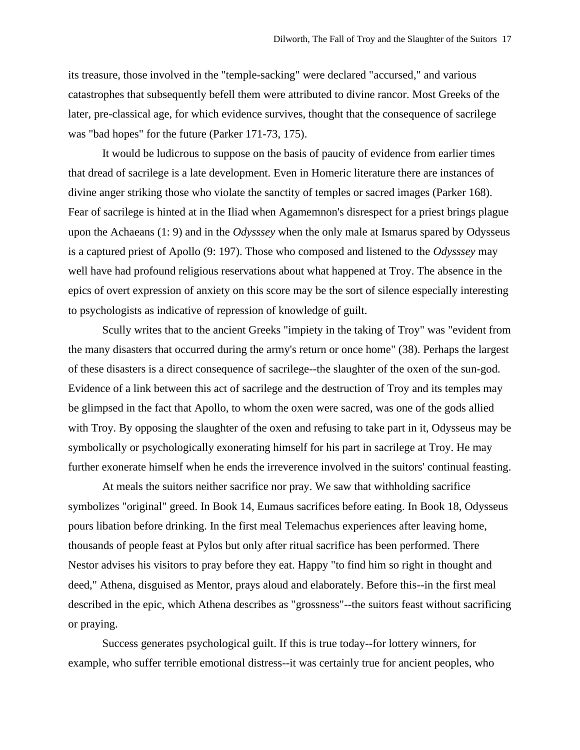its treasure, those involved in the "temple-sacking" were declared "accursed," and various catastrophes that subsequently befell them were attributed to divine rancor. Most Greeks of the later, pre-classical age, for which evidence survives, thought that the consequence of sacrilege was "bad hopes" for the future (Parker 171-73, 175).

It would be ludicrous to suppose on the basis of paucity of evidence from earlier times that dread of sacrilege is a late development. Even in Homeric literature there are instances of divine anger striking those who violate the sanctity of temples or sacred images (Parker 168). Fear of sacrilege is hinted at in the Iliad when Agamemnon's disrespect for a priest brings plague upon the Achaeans (1: 9) and in the *Odysssey* when the only male at Ismarus spared by Odysseus is a captured priest of Apollo (9: 197). Those who composed and listened to the *Odysssey* may well have had profound religious reservations about what happened at Troy. The absence in the epics of overt expression of anxiety on this score may be the sort of silence especially interesting to psychologists as indicative of repression of knowledge of guilt.

Scully writes that to the ancient Greeks "impiety in the taking of Troy" was "evident from the many disasters that occurred during the army's return or once home" (38). Perhaps the largest of these disasters is a direct consequence of sacrilege--the slaughter of the oxen of the sun-god. Evidence of a link between this act of sacrilege and the destruction of Troy and its temples may be glimpsed in the fact that Apollo, to whom the oxen were sacred, was one of the gods allied with Troy. By opposing the slaughter of the oxen and refusing to take part in it, Odysseus may be symbolically or psychologically exonerating himself for his part in sacrilege at Troy. He may further exonerate himself when he ends the irreverence involved in the suitors' continual feasting.

At meals the suitors neither sacrifice nor pray. We saw that withholding sacrifice symbolizes "original" greed. In Book 14, Eumaus sacrifices before eating. In Book 18, Odysseus pours libation before drinking. In the first meal Telemachus experiences after leaving home, thousands of people feast at Pylos but only after ritual sacrifice has been performed. There Nestor advises his visitors to pray before they eat. Happy "to find him so right in thought and deed," Athena, disguised as Mentor, prays aloud and elaborately. Before this--in the first meal described in the epic, which Athena describes as "grossness"--the suitors feast without sacrificing or praying.

Success generates psychological guilt. If this is true today--for lottery winners, for example, who suffer terrible emotional distress--it was certainly true for ancient peoples, who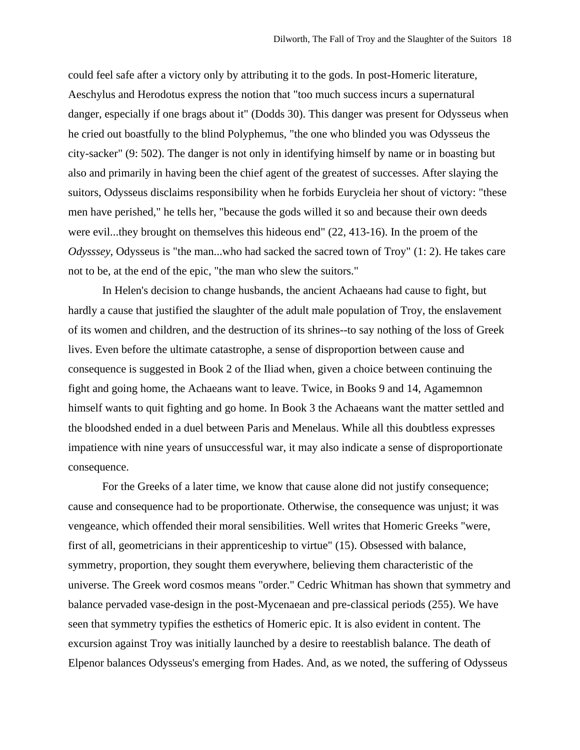could feel safe after a victory only by attributing it to the gods. In post-Homeric literature, Aeschylus and Herodotus express the notion that "too much success incurs a supernatural danger, especially if one brags about it" (Dodds 30). This danger was present for Odysseus when he cried out boastfully to the blind Polyphemus, "the one who blinded you was Odysseus the city-sacker" (9: 502). The danger is not only in identifying himself by name or in boasting but also and primarily in having been the chief agent of the greatest of successes. After slaying the suitors, Odysseus disclaims responsibility when he forbids Eurycleia her shout of victory: "these men have perished," he tells her, "because the gods willed it so and because their own deeds were evil...they brought on themselves this hideous end" (22, 413-16). In the proem of the *Odysssey*, Odysseus is "the man...who had sacked the sacred town of Troy" (1: 2). He takes care not to be, at the end of the epic, "the man who slew the suitors."

In Helen's decision to change husbands, the ancient Achaeans had cause to fight, but hardly a cause that justified the slaughter of the adult male population of Troy, the enslavement of its women and children, and the destruction of its shrines--to say nothing of the loss of Greek lives. Even before the ultimate catastrophe, a sense of disproportion between cause and consequence is suggested in Book 2 of the Iliad when, given a choice between continuing the fight and going home, the Achaeans want to leave. Twice, in Books 9 and 14, Agamemnon himself wants to quit fighting and go home. In Book 3 the Achaeans want the matter settled and the bloodshed ended in a duel between Paris and Menelaus. While all this doubtless expresses impatience with nine years of unsuccessful war, it may also indicate a sense of disproportionate consequence.

For the Greeks of a later time, we know that cause alone did not justify consequence; cause and consequence had to be proportionate. Otherwise, the consequence was unjust; it was vengeance, which offended their moral sensibilities. Well writes that Homeric Greeks "were, first of all, geometricians in their apprenticeship to virtue" (15). Obsessed with balance, symmetry, proportion, they sought them everywhere, believing them characteristic of the universe. The Greek word cosmos means "order." Cedric Whitman has shown that symmetry and balance pervaded vase-design in the post-Mycenaean and pre-classical periods (255). We have seen that symmetry typifies the esthetics of Homeric epic. It is also evident in content. The excursion against Troy was initially launched by a desire to reestablish balance. The death of Elpenor balances Odysseus's emerging from Hades. And, as we noted, the suffering of Odysseus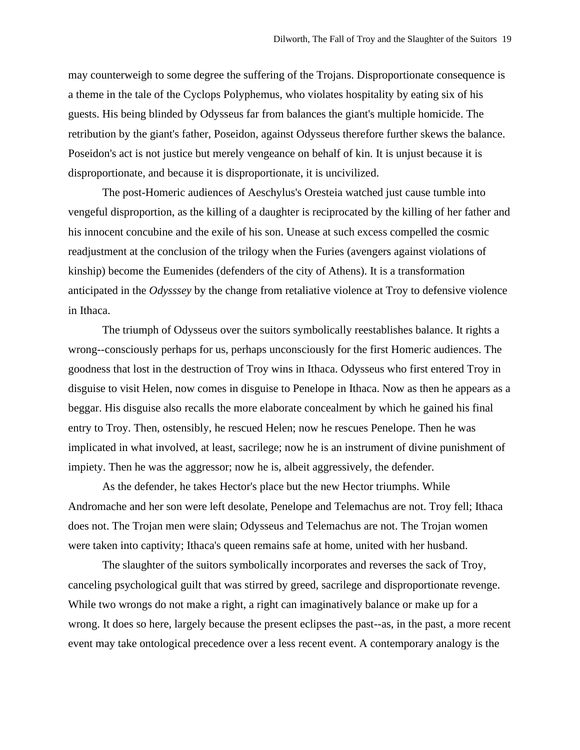may counterweigh to some degree the suffering of the Trojans. Disproportionate consequence is a theme in the tale of the Cyclops Polyphemus, who violates hospitality by eating six of his guests. His being blinded by Odysseus far from balances the giant's multiple homicide. The retribution by the giant's father, Poseidon, against Odysseus therefore further skews the balance. Poseidon's act is not justice but merely vengeance on behalf of kin. It is unjust because it is disproportionate, and because it is disproportionate, it is uncivilized.

The post-Homeric audiences of Aeschylus's Oresteia watched just cause tumble into vengeful disproportion, as the killing of a daughter is reciprocated by the killing of her father and his innocent concubine and the exile of his son. Unease at such excess compelled the cosmic readjustment at the conclusion of the trilogy when the Furies (avengers against violations of kinship) become the Eumenides (defenders of the city of Athens). It is a transformation anticipated in the *Odysssey* by the change from retaliative violence at Troy to defensive violence in Ithaca.

The triumph of Odysseus over the suitors symbolically reestablishes balance. It rights a wrong--consciously perhaps for us, perhaps unconsciously for the first Homeric audiences. The goodness that lost in the destruction of Troy wins in Ithaca. Odysseus who first entered Troy in disguise to visit Helen, now comes in disguise to Penelope in Ithaca. Now as then he appears as a beggar. His disguise also recalls the more elaborate concealment by which he gained his final entry to Troy. Then, ostensibly, he rescued Helen; now he rescues Penelope. Then he was implicated in what involved, at least, sacrilege; now he is an instrument of divine punishment of impiety. Then he was the aggressor; now he is, albeit aggressively, the defender.

As the defender, he takes Hector's place but the new Hector triumphs. While Andromache and her son were left desolate, Penelope and Telemachus are not. Troy fell; Ithaca does not. The Trojan men were slain; Odysseus and Telemachus are not. The Trojan women were taken into captivity; Ithaca's queen remains safe at home, united with her husband.

The slaughter of the suitors symbolically incorporates and reverses the sack of Troy, canceling psychological guilt that was stirred by greed, sacrilege and disproportionate revenge. While two wrongs do not make a right, a right can imaginatively balance or make up for a wrong. It does so here, largely because the present eclipses the past--as, in the past, a more recent event may take ontological precedence over a less recent event. A contemporary analogy is the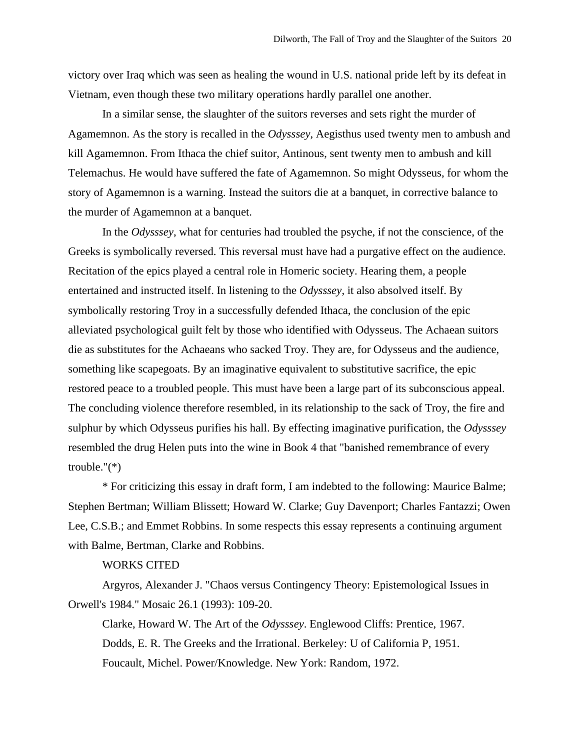victory over Iraq which was seen as healing the wound in U.S. national pride left by its defeat in Vietnam, even though these two military operations hardly parallel one another.

In a similar sense, the slaughter of the suitors reverses and sets right the murder of Agamemnon. As the story is recalled in the *Odysssey*, Aegisthus used twenty men to ambush and kill Agamemnon. From Ithaca the chief suitor, Antinous, sent twenty men to ambush and kill Telemachus. He would have suffered the fate of Agamemnon. So might Odysseus, for whom the story of Agamemnon is a warning. Instead the suitors die at a banquet, in corrective balance to the murder of Agamemnon at a banquet.

In the *Odysssey*, what for centuries had troubled the psyche, if not the conscience, of the Greeks is symbolically reversed. This reversal must have had a purgative effect on the audience. Recitation of the epics played a central role in Homeric society. Hearing them, a people entertained and instructed itself. In listening to the *Odysssey*, it also absolved itself. By symbolically restoring Troy in a successfully defended Ithaca, the conclusion of the epic alleviated psychological guilt felt by those who identified with Odysseus. The Achaean suitors die as substitutes for the Achaeans who sacked Troy. They are, for Odysseus and the audience, something like scapegoats. By an imaginative equivalent to substitutive sacrifice, the epic restored peace to a troubled people. This must have been a large part of its subconscious appeal. The concluding violence therefore resembled, in its relationship to the sack of Troy, the fire and sulphur by which Odysseus purifies his hall. By effecting imaginative purification, the *Odysssey* resembled the drug Helen puts into the wine in Book 4 that "banished remembrance of every trouble."(\*)

\* For criticizing this essay in draft form, I am indebted to the following: Maurice Balme; Stephen Bertman; William Blissett; Howard W. Clarke; Guy Davenport; Charles Fantazzi; Owen Lee, C.S.B.; and Emmet Robbins. In some respects this essay represents a continuing argument with Balme, Bertman, Clarke and Robbins.

### WORKS CITED

Argyros, Alexander J. "Chaos versus Contingency Theory: Epistemological Issues in Orwell's 1984." Mosaic 26.1 (1993): 109-20.

Clarke, Howard W. The Art of the *Odysssey*. Englewood Cliffs: Prentice, 1967. Dodds, E. R. The Greeks and the Irrational. Berkeley: U of California P, 1951. Foucault, Michel. Power/Knowledge. New York: Random, 1972.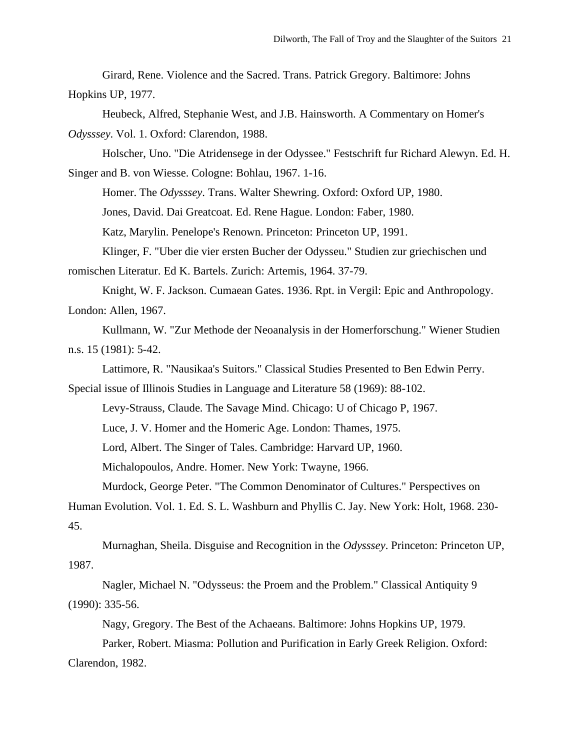Girard, Rene. Violence and the Sacred. Trans. Patrick Gregory. Baltimore: Johns Hopkins UP, 1977.

Heubeck, Alfred, Stephanie West, and J.B. Hainsworth. A Commentary on Homer's *Odysssey*. Vol. 1. Oxford: Clarendon, 1988.

Holscher, Uno. "Die Atridensege in der Odyssee." Festschrift fur Richard Alewyn. Ed. H. Singer and B. von Wiesse. Cologne: Bohlau, 1967. 1-16.

Homer. The *Odysssey*. Trans. Walter Shewring. Oxford: Oxford UP, 1980.

Jones, David. Dai Greatcoat. Ed. Rene Hague. London: Faber, 1980.

Katz, Marylin. Penelope's Renown. Princeton: Princeton UP, 1991.

Klinger, F. "Uber die vier ersten Bucher der Odysseu." Studien zur griechischen und

romischen Literatur. Ed K. Bartels. Zurich: Artemis, 1964. 37-79.

Knight, W. F. Jackson. Cumaean Gates. 1936. Rpt. in Vergil: Epic and Anthropology. London: Allen, 1967.

Kullmann, W. "Zur Methode der Neoanalysis in der Homerforschung." Wiener Studien n.s. 15 (1981): 5-42.

Lattimore, R. "Nausikaa's Suitors." Classical Studies Presented to Ben Edwin Perry.

Special issue of Illinois Studies in Language and Literature 58 (1969): 88-102.

Levy-Strauss, Claude. The Savage Mind. Chicago: U of Chicago P, 1967.

Luce, J. V. Homer and the Homeric Age. London: Thames, 1975.

Lord, Albert. The Singer of Tales. Cambridge: Harvard UP, 1960.

Michalopoulos, Andre. Homer. New York: Twayne, 1966.

Murdock, George Peter. "The Common Denominator of Cultures." Perspectives on

Human Evolution. Vol. 1. Ed. S. L. Washburn and Phyllis C. Jay. New York: Holt, 1968. 230- 45.

Murnaghan, Sheila. Disguise and Recognition in the *Odysssey*. Princeton: Princeton UP, 1987.

Nagler, Michael N. "Odysseus: the Proem and the Problem." Classical Antiquity 9 (1990): 335-56.

Nagy, Gregory. The Best of the Achaeans. Baltimore: Johns Hopkins UP, 1979.

Parker, Robert. Miasma: Pollution and Purification in Early Greek Religion. Oxford:

Clarendon, 1982.